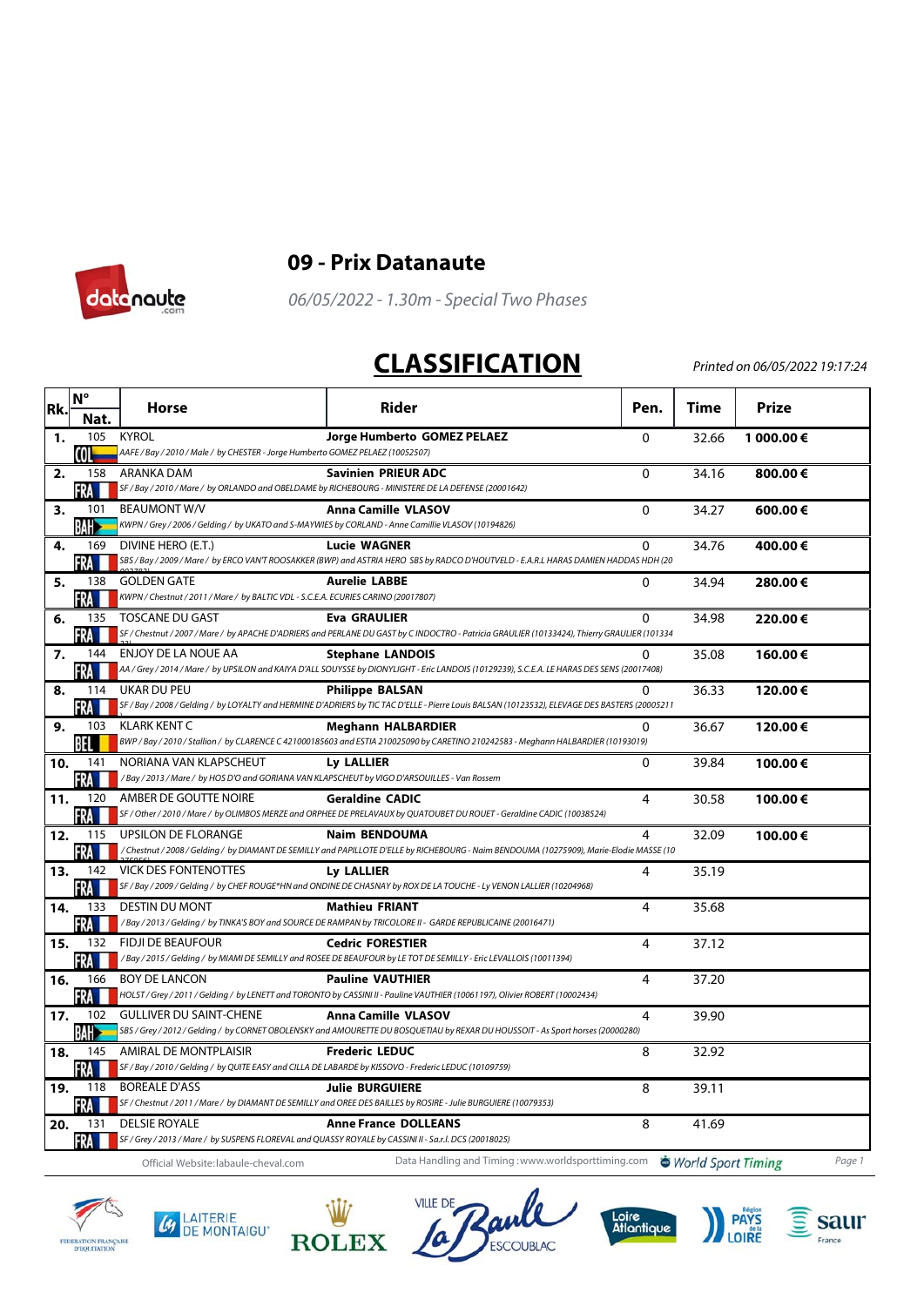



## **09 - Prix Datanaute**

06/05/2022 - 1.30m - Special Two Phases

## **CLASSIFICATION**

Printed on 06/05/2022 19:17:24

| Rk. | $N^{\circ}$       | <b>Horse</b>                                                                                             | <b>Rider</b>                                                                                                                                                    | Pen.         | Time  | <b>Prize</b> |
|-----|-------------------|----------------------------------------------------------------------------------------------------------|-----------------------------------------------------------------------------------------------------------------------------------------------------------------|--------------|-------|--------------|
|     | Nat.              |                                                                                                          |                                                                                                                                                                 |              |       |              |
| 1.  | 105               | <b>KYROL</b><br>AAFE / Bay / 2010 / Male / by CHESTER - Jorge Humberto GOMEZ PELAEZ (10052507)           | Jorge Humberto GOMEZ PELAEZ                                                                                                                                     | $\mathbf{0}$ | 32.66 | 1 000.00€    |
| 2.  | COL<br>158        | ARANKA DAM                                                                                               | <b>Savinien PRIEUR ADC</b>                                                                                                                                      | $\mathbf{0}$ | 34.16 | 800.00€      |
|     | FRA               | SF / Bay / 2010 / Mare / by ORLANDO and OBELDAME by RICHEBOURG - MINISTERE DE LA DEFENSE (20001642)      |                                                                                                                                                                 |              |       |              |
| 3.  | 101               | <b>BEAUMONT W/V</b>                                                                                      | <b>Anna Camille VLASOV</b>                                                                                                                                      | $\Omega$     | 34.27 | 600.00€      |
|     | <b>BAH</b>        | KWPN / Grey / 2006 / Gelding / by UKATO and S-MAYWIES by CORLAND - Anne Camillie VLASOV (10194826)       |                                                                                                                                                                 |              |       |              |
| 4.  | 169               | DIVINE HERO (E.T.)                                                                                       | <b>Lucie WAGNER</b>                                                                                                                                             | 0            | 34.76 | 400.00€      |
|     | FRA               |                                                                                                          | SBS / Bay / 2009 / Mare / by ERCO VAN'T ROOSAKKER (BWP) and ASTRIA HERO SBS by RADCO D'HOUTVELD - E.A.R.L HARAS DAMIEN HADDAS HDH (20                           |              |       |              |
| 5.  | 138<br>FRA        | <b>GOLDEN GATE</b><br>KWPN / Chestnut / 2011 / Mare / by BALTIC VDL - S.C.E.A. ECURIES CARINO (20017807) | <b>Aurelie LABBE</b>                                                                                                                                            | $\mathbf{0}$ | 34.94 | 280.00€      |
| 6.  | 135               | <b>TOSCANE DU GAST</b>                                                                                   | <b>Eva GRAULIER</b>                                                                                                                                             | 0            | 34.98 | 220.00€      |
|     | FRA               |                                                                                                          | SF / Chestnut / 2007 / Mare / by APACHE D'ADRIERS and PERLANE DU GAST by C INDOCTRO - Patricia GRAULIER (10133424), Thierry GRAULIER (101334                    |              |       |              |
| 7.  | 144               | ENJOY DE LA NOUE AA                                                                                      | <b>Stephane LANDOIS</b>                                                                                                                                         | 0            | 35.08 | 160.00€      |
|     | FRA               |                                                                                                          | AA / Grey / 2014 / Mare / by UPSILON and KAIYA D'ALL SOUYSSE by DIONYLIGHT - Eric LANDOIS (10129239), S.C.E.A. LE HARAS DES SENS (20017408)                     |              |       |              |
| 8.  | 114               | <b>UKAR DU PEU</b>                                                                                       | <b>Philippe BALSAN</b>                                                                                                                                          | 0            | 36.33 | 120.00€      |
|     | FRA               |                                                                                                          | SF / Bay / 2008 / Gelding / by LOYALTY and HERMINE D'ADRIERS by TIC TAC D'ELLE - Pierre Louis BALSAN (10123532), ELEVAGE DES BASTERS (20005211                  |              |       |              |
| 9.  | 103<br>BEL        | <b>KLARK KENT C</b>                                                                                      | <b>Meghann HALBARDIER</b><br>BWP / Bay / 2010 / Stallion / by CLARENCE C 421000185603 and ESTIA 210025090 by CARETINO 210242583 - Meghann HALBARDIER (10193019) | 0            | 36.67 | 120.00€      |
| 10. | 141               | NORIANA VAN KLAPSCHEUT                                                                                   | Ly LALLIER                                                                                                                                                      | $\Omega$     | 39.84 | 100.00€      |
|     | FRA               | /Bay / 2013 / Mare / by HOS D'O and GORIANA VAN KLAPSCHEUT by VIGO D'ARSOUILLES - Van Rossem             |                                                                                                                                                                 |              |       |              |
| 11. | 120               | AMBER DE GOUTTE NOIRE                                                                                    | <b>Geraldine CADIC</b>                                                                                                                                          | 4            | 30.58 | 100.00€      |
|     |                   |                                                                                                          | SF / Other / 2010 / Mare / by OLIMBOS MERZE and ORPHEE DE PRELAVAUX by QUATOUBET DU ROUET - Geraldine CADIC (10038524)                                          |              |       |              |
| 12. | 115               | <b>UPSILON DE FLORANGE</b>                                                                               | <b>Naim BENDOUMA</b>                                                                                                                                            | 4            | 32.09 | 100.00€      |
|     | FRA               |                                                                                                          | /Chestnut/2008/Gelding/byDIAMANTDE SEMILLY and PAPILLOTE D'ELLE by RICHEBOURG - Naim BENDOUMA (10275909), Marie-Elodie MASSE (10                                |              |       |              |
| 13. | 142<br>FRA        | <b>VICK DES FONTENOTTES</b>                                                                              | Ly LALLIER<br>SF / Bay / 2009 / Gelding / by CHEF ROUGE*HN and ONDINE DE CHASNAY by ROX DE LA TOUCHE - Ly VENON LALLIER (10204968)                              | 4            | 35.19 |              |
| 14. | 133               | <b>DESTIN DU MONT</b>                                                                                    | <b>Mathieu FRIANT</b>                                                                                                                                           | 4            | 35.68 |              |
|     | FRA               |                                                                                                          | /Bay / 2013 / Gelding / by TINKA'S BOY and SOURCE DE RAMPAN by TRICOLORE II - GARDE REPUBLICAINE (20016471)                                                     |              |       |              |
| 15. | 132               | <b>FIDJI DE BEAUFOUR</b>                                                                                 | <b>Cedric FORESTIER</b>                                                                                                                                         | 4            | 37.12 |              |
|     | FRA               |                                                                                                          | /Bay / 2015 / Gelding / by MIAMI DE SEMILLY and ROSEE DE BEAUFOUR by LE TOT DE SEMILLY - Eric LEVALLOIS (10011394)                                              |              |       |              |
| 16. | 166               | <b>BOY DE LANCON</b>                                                                                     | <b>Pauline VAUTHIER</b>                                                                                                                                         | 4            | 37.20 |              |
|     | <b>FRA</b>        |                                                                                                          | HOLST / Grey / 2011 / Gelding / by LENETT and TORONTO by CASSINI II - Pauline VAUTHIER (10061197), Olivier ROBERT (10002434)                                    |              |       |              |
| 17. | 102<br><b>BAH</b> | <b>GULLIVER DU SAINT-CHENE</b>                                                                           | <b>Anna Camille VLASOV</b><br>SBS / Grey / 2012 / Gelding / by CORNET OBOLENSKY and AMOURETTE DU BOSQUETIAU by REXAR DU HOUSSOIT - As Sport horses (20000280)   | 4            | 39.90 |              |
| 18. | 145               | AMIRAL DE MONTPLAISIR                                                                                    | <b>Frederic LEDUC</b>                                                                                                                                           | 8            | 32.92 |              |
|     | FRA               | SF / Bay / 2010 / Gelding / by QUITE EASY and CILLA DE LABARDE by KISSOVO - Frederic LEDUC (10109759)    |                                                                                                                                                                 |              |       |              |
| 19. | 118               | <b>BOREALE D'ASS</b>                                                                                     | <b>Julie BURGUIERE</b>                                                                                                                                          | 8            | 39.11 |              |
|     | FRA               |                                                                                                          | SF / Chestnut / 2011 / Mare / by DIAMANT DE SEMILLY and OREE DES BAILLES by ROSIRE - Julie BURGUIERE (10079353)                                                 |              |       |              |
| 20. | 131               | <b>DELSIE ROYALE</b>                                                                                     | <b>Anne France DOLLEANS</b>                                                                                                                                     | 8            | 41.69 |              |
|     | FRA               | SF / Grey / 2013 / Mare / by SUSPENS FLOREVAL and QUASSY ROYALE by CASSINI II - Sa.r.l. DCS (20018025)   |                                                                                                                                                                 |              |       |              |
|     |                   | Official Website: labaule-cheval.com                                                                     | Data Handling and Timing : www.worldsporttiming.com World Sport Timing                                                                                          |              |       | Page 1       |

FEDERATION FRANÇAISE<br>D'EQUITATION